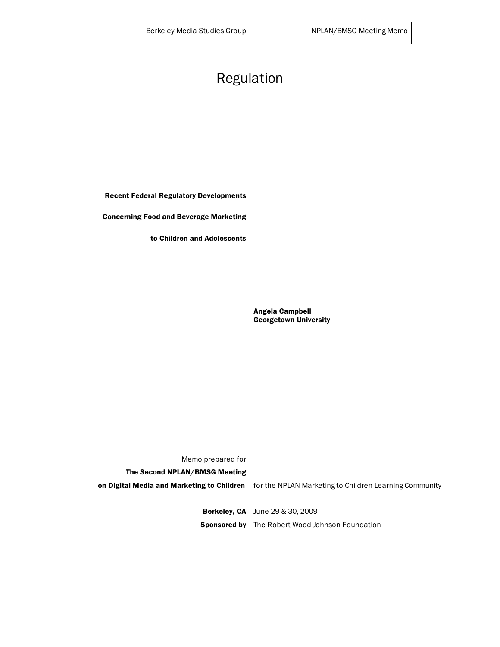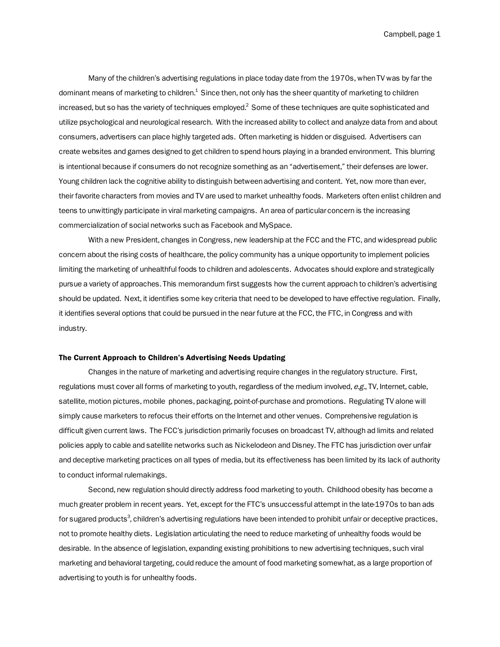Campbell, page 1

Many of the children's advertising regulations in place today date from the 1970s, when TV was by far the dominant means of marketing to children. $^1$  Since then, not only has the sheer quantity of marketing to children increased, but so has the variety of techniques employed. $^2$  Some of these techniques are quite sophisticated and utilize psychological and neurological research. With the increased ability to collect and analyze data from and about consumers, advertisers can place highly targeted ads. Often marketing is hidden or disguised. Advertisers can create websites and games designed to get children to spend hours playing in a branded environment. This blurring is intentional because if consumers do not recognize something as an "advertisement," their defenses are lower. Young children lack the cognitive ability to distinguish between advertising and content. Yet, now more than ever, their favorite characters from movies and TV are used to market unhealthy foods. Marketers often enlist children and teens to unwittingly participate in viral marketing campaigns. An area of particular concern is the increasing commercialization of social networks such as Facebook and MySpace.

With a new President, changes in Congress, new leadership at the FCC and the FTC, and widespread public concern about the rising costs of healthcare, the policy community has a unique opportunity to implement policies limiting the marketing of unhealthful foods to children and adolescents. Advocates should explore and strategically pursue a variety of approaches. This memorandum first suggests how the current approach to children's advertising should be updated. Next, it identifies some key criteria that need to be developed to have effective regulation. Finally, it identifies several options that could be pursued in the near future at the FCC, the FTC, in Congress and with industry.

#### The Current Approach to Children's Advertising Needs Updating

Changes in the nature of marketing and advertising require changes in the regulatory structure. First, regulations must cover all forms of marketing to youth, regardless of the medium involved, e.g., TV, Internet, cable, satellite, motion pictures, mobile phones, packaging, point-of-purchase and promotions. Regulating TV alone will simply cause marketers to refocus their efforts on the Internet and other venues. Comprehensive regulation is difficult given current laws. The FCC's jurisdiction primarily focuses on broadcast TV, although ad limits and related policies apply to cable and satellite networks such as Nickelodeon and Disney. The FTC has jurisdiction over unfair and deceptive marketing practices on all types of media, but its effectiveness has been limited by its lack of authority to conduct informal rulemakings.

Second, new regulation should directly address food marketing to youth. Childhood obesity has become a much greater problem in recent years. Yet, except for the FTC's unsuccessful attempt in the late-1970s to ban ads for sugared products $^3$ , children's advertising regulations have been intended to prohibit unfair or deceptive practices, not to promote healthy diets. Legislation articulating the need to reduce marketing of unhealthy foods would be desirable. In the absence of legislation, expanding existing prohibitions to new advertising techniques, such viral marketing and behavioral targeting, could reduce the amount of food marketing somewhat, as a large proportion of advertising to youth is for unhealthy foods.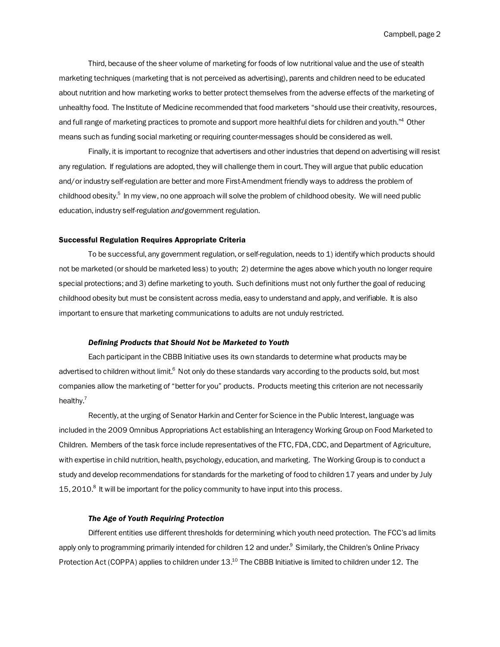Third, because of the sheer volume of marketing for foods of low nutritional value and the use of stealth marketing techniques (marketing that is not perceived as advertising), parents and children need to be educated about nutrition and how marketing works to better protect themselves from the adverse effects of the marketing of unhealthy food. The Institute of Medicine recommended that food marketers "should use their creativity, resources, and full range of marketing practices to promote and support more healthful diets for children and youth."<sup>4</sup> Other means such as funding social marketing or requiring counter-messages should be considered as well.

Finally, it is important to recognize that advertisers and other industries that depend on advertising will resist any regulation. If regulations are adopted, they will challenge them in court. They will argue that public education and/or industry self-regulation are better and more First-Amendment friendly ways to address the problem of childhood obesity.<sup>5</sup> In my view, no one approach will solve the problem of childhood obesity. We will need public education, industry self-regulation and government regulation.

### Successful Regulation Requires Appropriate Criteria

To be successful, any government regulation, or self-regulation, needs to 1) identify which products should not be marketed (or should be marketed less) to youth; 2) determine the ages above which youth no longer require special protections; and 3) define marketing to youth. Such definitions must not only further the goal of reducing childhood obesity but must be consistent across media, easy to understand and apply, and verifiable. It is also important to ensure that marketing communications to adults are not unduly restricted.

### *Defining Products that Should Not be Marketed to Youth*

Each participant in the CBBB Initiative uses its own standards to determine what products may be advertised to children without limit.<sup>6</sup> Not only do these standards vary according to the products sold, but most companies allow the marketing of "better for you" products. Products meeting this criterion are not necessarily healthy.<sup>7</sup>

Recently, at the urging of Senator Harkin and Center for Science in the Public Interest, language was included in the 2009 Omnibus Appropriations Act establishing an Interagency Working Group on Food Marketed to Children. Members of the task force include representatives of the FTC, FDA, CDC, and Department of Agriculture, with expertise in child nutrition, health, psychology, education, and marketing. The Working Group is to conduct a study and develop recommendations for standards for the marketing of food to children 17 years and under by July 15, 2010.<sup>8</sup> It will be important for the policy community to have input into this process.

### *The Age of Youth Requiring Protection*

Different entities use different thresholds for determining which youth need protection. The FCC's ad limits apply only to programming primarily intended for children 12 and under.<sup>9</sup> Similarly, the Children's Online Privacy Protection Act (COPPA) applies to children under 13.<sup>10</sup> The CBBB Initiative is limited to children under 12. The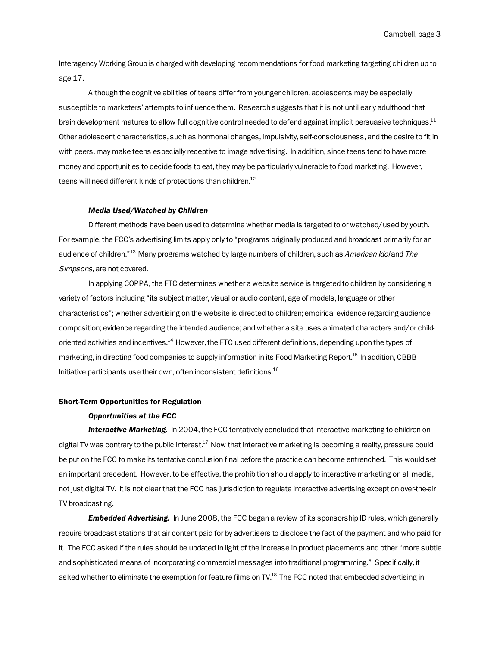Campbell, page 3

Interagency Working Group is charged with developing recommendations for food marketing targeting children up to age 17.

Although the cognitive abilities of teens differ from younger children, adolescents may be especially susceptible to marketers' attempts to influence them. Research suggests that it is not until early adulthood that brain development matures to allow full cognitive control needed to defend against implicit persuasive techniques.<sup>11</sup> Other adolescent characteristics, such as hormonal changes, impulsivity, self-consciousness, and the desire to fit in with peers, may make teens especially receptive to image advertising. In addition, since teens tend to have more money and opportunities to decide foods to eat, they may be particularly vulnerable to food marketing. However, teens will need different kinds of protections than children. $^{12}$ 

## *Media Used/Watched by Children*

Different methods have been used to determine whether media is targeted to or watched/used by youth. For example, the FCC's advertising limits apply only to "programs originally produced and broadcast primarily for an audience of children."<sup>13</sup> Many programs watched by large numbers of children, such as American Idol and The Simpsons, are not covered.

In applying COPPA, the FTC determines whether a website service is targeted to children by considering a variety of factors including "its subject matter, visual or audio content, age of models, language or other characteristics"; whether advertising on the website is directed to children; empirical evidence regarding audience composition; evidence regarding the intended audience; and whether a site uses animated characters and/or childoriented activities and incentives.<sup>14</sup> However, the FTC used different definitions, depending upon the types of marketing, in directing food companies to supply information in its Food Marketing Report.<sup>15</sup> In addition, CBBB Initiative participants use their own, often inconsistent definitions.16

# Short-Term Opportunities for Regulation

#### *Opportunities at the FCC*

*Interactive Marketing.* In 2004, the FCC tentatively concluded that interactive marketing to children on digital TV was contrary to the public interest. $^{17}$  Now that interactive marketing is becoming a reality, pressure could be put on the FCC to make its tentative conclusion final before the practice can become entrenched. This would set an important precedent. However, to be effective, the prohibition should apply to interactive marketing on all media, not just digital TV. It is not clear that the FCC has jurisdiction to regulate interactive advertising except on over-the-air TV broadcasting.

*Embedded Advertising.* In June 2008, the FCC began a review of its sponsorship ID rules, which generally require broadcast stations that air content paid for by advertisers to disclose the fact of the payment and who paid for it. The FCC asked if the rules should be updated in light of the increase in product placements and other "more subtle and sophisticated means of incorporating commercial messages into traditional programming." Specifically, it asked whether to eliminate the exemption for feature films on TV.<sup>18</sup> The FCC noted that embedded advertising in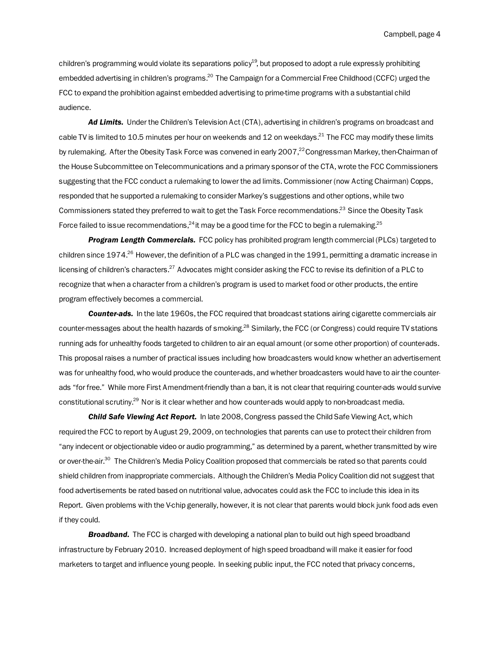children's programming would violate its separations policy<sup>19</sup>, but proposed to adopt a rule expressly prohibiting embedded advertising in children's programs.<sup>20</sup> The Campaign for a Commercial Free Childhood (CCFC) urged the FCC to expand the prohibition against embedded advertising to prime-time programs with a substantial child audience.

*Ad Limits.* Under the Children's Television Act (CTA), advertising in children's programs on broadcast and cable TV is limited to 10.5 minutes per hour on weekends and 12 on weekdays.<sup>21</sup> The FCC may modify these limits by rulemaking. After the Obesity Task Force was convened in early 2007,<sup>22</sup> Congressman Markey, then-Chairman of the House Subcommittee on Telecommunications and a primary sponsor of the CTA, wrote the FCC Commissioners suggesting that the FCC conduct a rulemaking to lower the ad limits. Commissioner (now Acting Chairman) Copps, responded that he supported a rulemaking to consider Markey's suggestions and other options, while two Commissioners stated they preferred to wait to get the Task Force recommendations.<sup>23</sup> Since the Obesity Task Force failed to issue recommendations,  $^{24}$  it may be a good time for the FCC to begin a rulemaking.  $^{25}$ 

*Program Length Commercials.* FCC policy has prohibited program length commercial (PLCs) targeted to children since 1974.<sup>26</sup> However, the definition of a PLC was changed in the 1991, permitting a dramatic increase in licensing of children's characters.<sup>27</sup> Advocates might consider asking the FCC to revise its definition of a PLC to recognize that when a character from a children's program is used to market food or other products, the entire program effectively becomes a commercial.

*Counter-ads.* In the late 1960s, the FCC required that broadcast stations airing cigarette commercials air counter-messages about the health hazards of smoking.<sup>28</sup> Similarly, the FCC (or Congress) could require TV stations running ads for unhealthy foods targeted to children to air an equal amount (or some other proportion) of counter-ads. This proposal raises a number of practical issues including how broadcasters would know whether an advertisement was for unhealthy food, who would produce the counter-ads, and whether broadcasters would have to air the counterads "for free." While more First Amendment-friendly than a ban, it is not clear that requiring counter-ads would survive constitutional scrutiny.<sup>29</sup> Nor is it clear whether and how counter-ads would apply to non-broadcast media.

*Child Safe Viewing Act Report.* In late 2008, Congress passed the Child Safe Viewing Act, which required the FCC to report by August 29, 2009, on technologies that parents can use to protect their children from "any indecent or objectionable video or audio programming," as determined by a parent, whether transmitted by wire or over-the-air.<sup>30</sup> The Children's Media Policy Coalition proposed that commercials be rated so that parents could shield children from inappropriate commercials. Although the Children's Media Policy Coalition did not suggest that food advertisements be rated based on nutritional value, advocates could ask the FCC to include this idea in its Report. Given problems with the V-chip generally, however, it is not clear that parents would block junk food ads even if they could.

*Broadband.* The FCC is charged with developing a national plan to build out high speed broadband infrastructure by February 2010. Increased deployment of high speed broadband will make it easier for food marketers to target and influence young people. In seeking public input, the FCC noted that privacy concerns,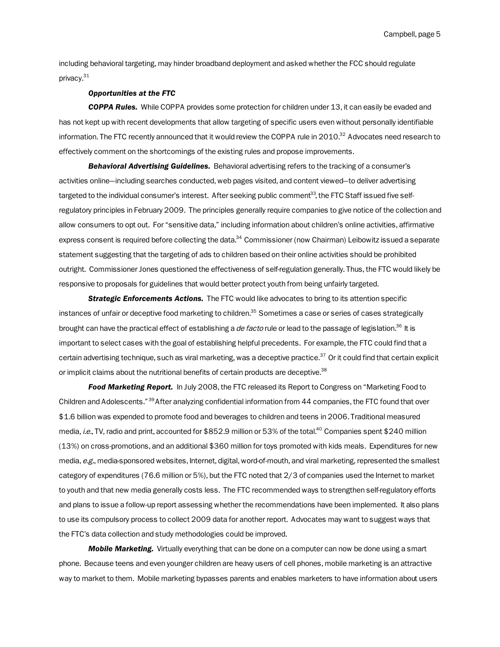Campbell, page 5

including behavioral targeting, may hinder broadband deployment and asked whether the FCC should regulate privacy.<sup>31</sup>

### *Opportunities at the FTC*

*COPPA Rules.* While COPPA provides some protection for children under 13, it can easily be evaded and has not kept up with recent developments that allow targeting of specific users even without personally identifiable information. The FTC recently announced that it would review the COPPA rule in 2010.<sup>32</sup> Advocates need research to effectively comment on the shortcomings of the existing rules and propose improvements.

*Behavioral Advertising Guidelines.* Behavioral advertising refers to the tracking of a consumer's activities online—including searches conducted, web pages visited, and content viewed—to deliver advertising targeted to the individual consumer's interest. After seeking public comment<sup>33</sup>, the FTC Staff issued five selfregulatory principles in February 2009. The principles generally require companies to give notice of the collection and allow consumers to opt out. For "sensitive data," including information about children's online activities, affirmative express consent is required before collecting the data.<sup>34</sup> Commissioner (now Chairman) Leibowitz issued a separate statement suggesting that the targeting of ads to children based on their online activities should be prohibited outright. Commissioner Jones questioned the effectiveness of self-regulation generally. Thus, the FTC would likely be responsive to proposals for guidelines that would better protect youth from being unfairly targeted.

*Strategic Enforcements Actions.* The FTC would like advocates to bring to its attention specific instances of unfair or deceptive food marketing to children.<sup>35</sup> Sometimes a case or series of cases strategically brought can have the practical effect of establishing a *de facto* rule or lead to the passage of legislation.<sup>36</sup> It is important to select cases with the goal of establishing helpful precedents. For example, the FTC could find that a certain advertising technique, such as viral marketing, was a deceptive practice. $37$  Or it could find that certain explicit or implicit claims about the nutritional benefits of certain products are deceptive.<sup>38</sup>

*Food Marketing Report.* In July 2008, the FTC released its Report to Congress on "Marketing Food to Children and Adolescents."39 After analyzing confidential information from 44 companies, the FTC found that over \$1.6 billion was expended to promote food and beverages to children and teens in 2006. Traditional measured media, i.e., TV, radio and print, accounted for \$852.9 million or 53% of the total.<sup>40</sup> Companies spent \$240 million (13%) on cross-promotions, and an additional \$360 million for toys promoted with kids meals. Expenditures for new media, e.g., media-sponsored websites, Internet, digital, word-of-mouth, and viral marketing, represented the smallest category of expenditures (76.6 million or 5%), but the FTC noted that 2/3 of companies used the Internet to market to youth and that new media generally costs less. The FTC recommended ways to strengthen self-regulatory efforts and plans to issue a follow-up report assessing whether the recommendations have been implemented. It also plans to use its compulsory process to collect 2009 data for another report. Advocates may want to suggest ways that the FTC's data collection and study methodologies could be improved.

*Mobile Marketing.* Virtually everything that can be done on a computer can now be done using a smart phone. Because teens and even younger children are heavy users of cell phones, mobile marketing is an attractive way to market to them. Mobile marketing bypasses parents and enables marketers to have information about users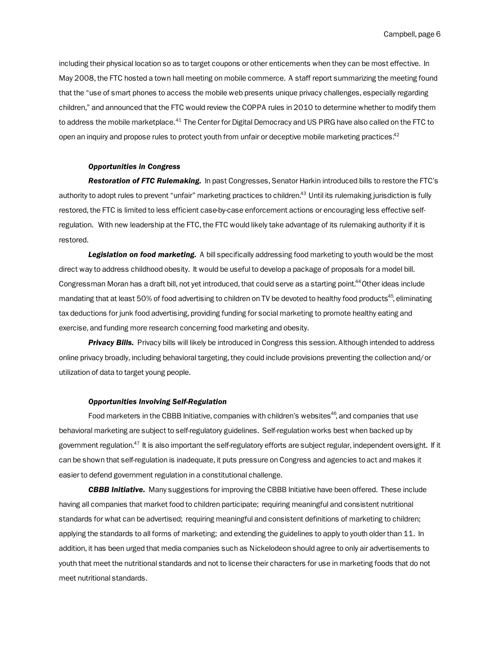including their physical location so as to target coupons or other enticements when they can be most effective. In May 2008, the FTC hosted a town hall meeting on mobile commerce. A staff report summarizing the meeting found that the "use of smart phones to access the mobile web presents unique privacy challenges, especially regarding children," and announced that the FTC would review the COPPA rules in 2010 to determine whether to modify them to address the mobile marketplace.<sup>41</sup> The Center for Digital Democracy and US PIRG have also called on the FTC to open an inquiry and propose rules to protect youth from unfair or deceptive mobile marketing practices.<sup>42</sup>

# *Opportunities in Congress*

*Restoration of FTC Rulemaking.* In past Congresses, Senator Harkin introduced bills to restore the FTC's authority to adopt rules to prevent "unfair" marketing practices to children.<sup>43</sup> Until its rulemaking jurisdiction is fully restored, the FTC is limited to less efficient case-by-case enforcement actions or encouraging less effective selfregulation. With new leadership at the FTC, the FTC would likely take advantage of its rulemaking authority if it is restored.

**Legislation on food marketing.** A bill specifically addressing food marketing to youth would be the most direct way to address childhood obesity. It would be useful to develop a package of proposals for a model bill. Congressman Moran has a draft bill, not yet introduced, that could serve as a starting point.44 Other ideas include mandating that at least 50% of food advertising to children on TV be devoted to healthy food products<sup>45</sup>, eliminating tax deductions for junk food advertising, providing funding for social marketing to promote healthy eating and exercise, and funding more research concerning food marketing and obesity.

*Privacy Bills.* Privacy bills will likely be introduced in Congress this session. Although intended to address online privacy broadly, including behavioral targeting, they could include provisions preventing the collection and/or utilization of data to target young people.

## *Opportunities Involving Self-Regulation*

Food marketers in the CBBB Initiative, companies with children's websites $46$ , and companies that use behavioral marketing are subject to self-regulatory guidelines. Self-regulation works best when backed up by government regulation. $47$  It is also important the self-regulatory efforts are subject regular, independent oversight. If it can be shown that self-regulation is inadequate, it puts pressure on Congress and agencies to act and makes it easier to defend government regulation in a constitutional challenge.

*CBBB Initiative.* Many suggestions for improving the CBBB Initiative have been offered. These include having all companies that market food to children participate; requiring meaningful and consistent nutritional standards for what can be advertised; requiring meaningful and consistent definitions of marketing to children; applying the standards to all forms of marketing; and extending the guidelines to apply to youth older than 11. In addition, it has been urged that media companies such as Nickelodeon should agree to only air advertisements to youth that meet the nutritional standards and not to license their characters for use in marketing foods that do not meet nutritional standards.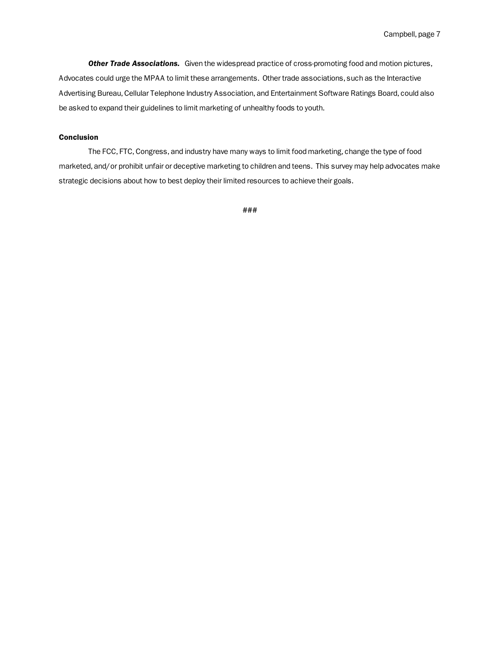*Other Trade Associations.* Given the widespread practice of cross-promoting food and motion pictures, Advocates could urge the MPAA to limit these arrangements. Other trade associations, such as the Interactive Advertising Bureau, Cellular Telephone Industry Association, and Entertainment Software Ratings Board, could also be asked to expand their guidelines to limit marketing of unhealthy foods to youth.

## Conclusion

The FCC, FTC, Congress, and industry have many ways to limit food marketing, change the type of food marketed, and/or prohibit unfair or deceptive marketing to children and teens. This survey may help advocates make strategic decisions about how to best deploy their limited resources to achieve their goals.

###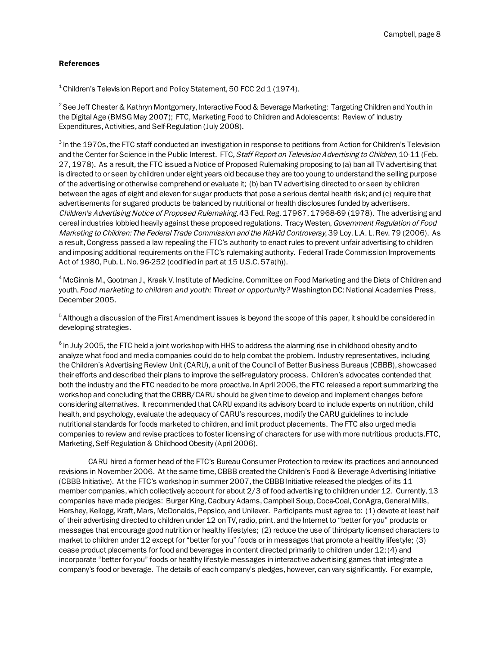## References

 $^1$ Children's Television Report and Policy Statement, 50 FCC 2d 1 (1974).

 $^2$ See Jeff Chester & Kathryn Montgomery, Interactive Food & Beverage Marketing: Targeting Children and Youth in the Digital Age (BMSG May 2007); FTC, Marketing Food to Children and Adolescents: Review of Industry Expenditures, Activities, and Self-Regulation (July 2008).

 $^3$  In the 1970s, the FTC staff conducted an investigation in response to petitions from Action for Children's Television and the Center for Science in the Public Interest. FTC, Staff Report on Television Advertising to Children, 10-11 (Feb. 27, 1978). As a result, the FTC issued a Notice of Proposed Rulemaking proposing to (a) ban all TV advertising that is directed to or seen by children under eight years old because they are too young to understand the selling purpose of the advertising or otherwise comprehend or evaluate it; (b) ban TV advertising directed to or seen by children between the ages of eight and eleven for sugar products that pose a serious dental health risk; and (c) require that advertisements for sugared products be balanced by nutritional or health disclosures funded by advertisers. Children's Advertising Notice of Proposed Rulemaking, 43 Fed. Reg. 17967, 17968-69 (1978). The advertising and cereal industries lobbied heavily against these proposed regulations. Tracy Westen, Government Regulation of Food Marketing to Children: The Federal Trade Commission and the Kid-Vid Controversy, 39 Loy. L.A. L. Rev. 79 (2006). As a result, Congress passed a law repealing the FTC's authority to enact rules to prevent unfair advertising to children and imposing additional requirements on the FTC's rulemaking authority. Federal Trade Commission Improvements Act of 1980, Pub. L. No. 96-252 (codified in part at 15 U.S.C. 57a(h)).

<sup>4</sup> McGinnis M., Gootman J., Kraak V. Institute of Medicine. Committee on Food Marketing and the Diets of Children and youth. *Food marketing to children and youth: Threat or opportunity?* Washington DC: National Academies Press, December 2005.

 $^5$ Although a discussion of the First Amendment issues is beyond the scope of this paper, it should be considered in developing strategies.

 $^6$  In July 2005, the FTC held a joint workshop with HHS to address the alarming rise in childhood obesity and to analyze what food and media companies could do to help combat the problem. Industry representatives, including the Children's Advertising Review Unit (CARU), a unit of the Council of Better Business Bureaus (CBBB), showcased their efforts and described their plans to improve the self-regulatory process. Children's advocates contended that both the industry and the FTC needed to be more proactive. In April 2006, the FTC released a report summarizing the workshop and concluding that the CBBB/CARU should be given time to develop and implement changes before considering alternatives. It recommended that CARU expand its advisory board to include experts on nutrition, child health, and psychology, evaluate the adequacy of CARU's resources, modify the CARU guidelines to include nutritional standards for foods marketed to children, and limit product placements. The FTC also urged media companies to review and revise practices to foster licensing of characters for use with more nutritious products.FTC, Marketing, Self-Regulation & Childhood Obesity (April 2006).

CARU hired a former head of the FTC's Bureau Consumer Protection to review its practices and announced revisions in November 2006. At the same time, CBBB created the Children's Food & Beverage Advertising Initiative (CBBB Initiative). At the FTC's workshop in summer 2007, the CBBB Initiative released the pledges of its 11 member companies, which collectively account for about 2/3 of food advertising to children under 12. Currently, 13 companies have made pledges: Burger King, Cadbury Adams, Campbell Soup, Coca-Coal, ConAgra, General Mills, Hershey, Kellogg, Kraft, Mars, McDonalds, Pepsico, and Unilever. Participants must agree to: (1) devote at least half of their advertising directed to children under 12 on TV, radio, print, and the Internet to "better for you" products or messages that encourage good nutrition or healthy lifestyles; (2) reduce the use of third-party licensed characters to market to children under 12 except for "better for you" foods or in messages that promote a healthy lifestyle; (3) cease product placements for food and beverages in content directed primarily to children under 12; (4) and incorporate "better for you" foods or healthy lifestyle messages in interactive advertising games that integrate a company's food or beverage. The details of each company's pledges, however, can vary significantly. For example,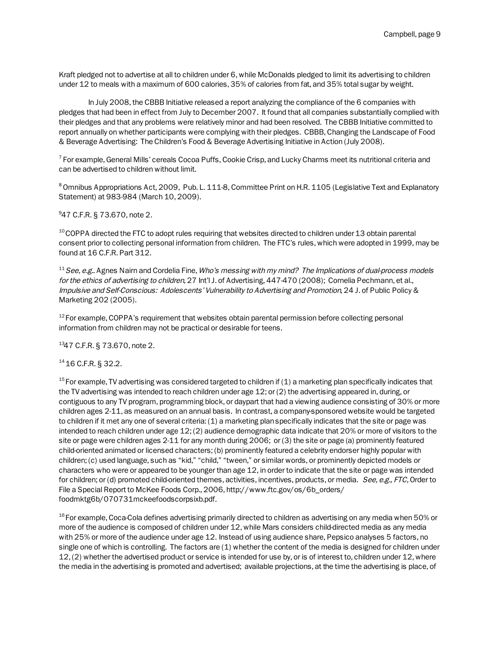Kraft pledged not to advertise at all to children under 6, while McDonalds pledged to limit its advertising to children under 12 to meals with a maximum of 600 calories, 35% of calories from fat, and 35% total sugar by weight.

In July 2008, the CBBB Initiative released a report analyzing the compliance of the 6 companies with pledges that had been in effect from July to December 2007. It found that all companies substantially complied with their pledges and that any problems were relatively minor and had been resolved. The CBBB Initiative committed to report annually on whether participants were complying with their pledges. CBBB, Changing the Landscape of Food & Beverage Advertising: The Children's Food & Beverage Advertising Initiative in Action (July 2008).

 $^7$  For example, General Mills' cereals Cocoa Puffs, Cookie Crisp, and Lucky Charms meet its nutritional criteria and can be advertised to children without limit.

<sup>8</sup> Omnibus Appropriations Act, 2009, Pub. L. 111-8, Committee Print on H.R. 1105 (Legislative Text and Explanatory Statement) at 983-984 (March 10, 2009).

9 47 C.F.R. § 73.670, note 2.

 $10$  COPPA directed the FTC to adopt rules requiring that websites directed to children under 13 obtain parental consent prior to collecting personal information from children. The FTC's rules, which were adopted in 1999, may be found at 16 C.F.R. Part 312.

<sup>11</sup> See, e.g.. Agnes Nairn and Cordelia Fine, Who's messing with my mind? The Implications of dual-process models for the ethics of advertising to children, 27 Int'l J. of Advertising, 447-470 (2008); Cornelia Pechmann, et al., Impulsive and Self-Conscious: Adolescents' Vulnerability to Advertising and Promotion, 24 J. of Public Policy & Marketing 202 (2005).

 $12$  For example, COPPA's requirement that websites obtain parental permission before collecting personal information from children may not be practical or desirable for teens.

1347 C.F.R. § 73.670, note 2.

14 16 C.F.R. § 32.2.

 $15$  For example, TV advertising was considered targeted to children if (1) a marketing plan specifically indicates that the TV advertising was intended to reach children under age 12; or (2) the advertising appeared in, during, or contiguous to any TV program, programming block, or daypart that had a viewing audience consisting of 30% or more children ages 2-11, as measured on an annual basis. In contrast, a company-sponsored website would be targeted to children if it met any one of several criteria: (1) a marketing plan specifically indicates that the site or page was intended to reach children under age 12; (2) audience demographic data indicate that 20% or more of visitors to the site or page were children ages 2-11 for any month during 2006; or (3) the site or page (a) prominently featured child-oriented animated or licensed characters; (b) prominently featured a celebrity endorser highly popular with children; (c) used language, such as "kid," "child," "tween," or similar words, or prominently depicted models or characters who were or appeared to be younger than age 12, in order to indicate that the site or page was intended for children; or (d) promoted child-oriented themes, activities, incentives, products, or media. See, e.g., FTC, Order to File a Special Report to McKee Foods Corp., 2006, http://www.ftc.gov/os/6b\_orders/ foodmktg6b/070731mckeefoodscorpsixb.pdf.

 $^{16}$  For example, Coca-Cola defines advertising primarily directed to children as advertising on any media when 50% or more of the audience is composed of children under 12, while Mars considers child-directed media as any media with 25% or more of the audience under age 12. Instead of using audience share, Pepsico analyses 5 factors, no single one of which is controlling. The factors are (1) whether the content of the media is designed for children under 12, (2) whether the advertised product or service is intended for use by, or is of interest to, children under 12, where the media in the advertising is promoted and advertised; available projections, at the time the advertising is place, of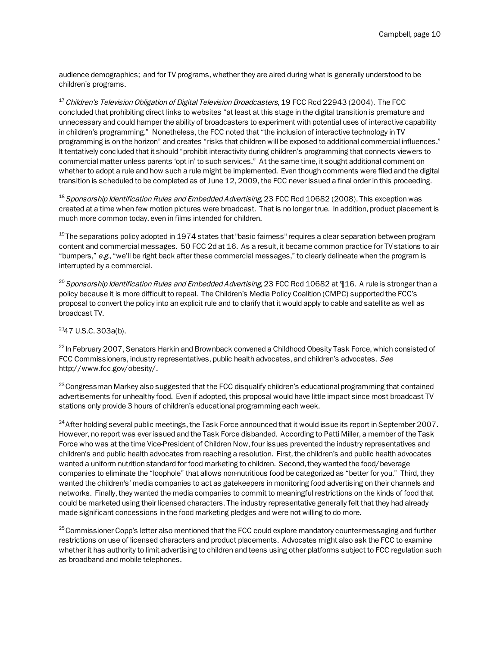audience demographics; and for TV programs, whether they are aired during what is generally understood to be children's programs.

 $17$  Children's Television Obligation of Digital Television Broadcasters, 19 FCC Rcd 22943 (2004). The FCC concluded that prohibiting direct links to websites "at least at this stage in the digital transition is premature and unnecessary and could hamper the ability of broadcasters to experiment with potential uses of interactive capability in children's programming." Nonetheless, the FCC noted that "the inclusion of interactive technology in TV programming is on the horizon" and creates "risks that children will be exposed to additional commercial influences." It tentatively concluded that it should "prohibit interactivity during children's programming that connects viewers to commercial matter unless parents 'opt in' to such services." At the same time, it sought additional comment on whether to adopt a rule and how such a rule might be implemented. Even though comments were filed and the digital transition is scheduled to be completed as of June 12, 2009, the FCC never issued a final order in this proceeding.

<sup>18</sup> Sponsorship Identification Rules and Embedded Advertising, 23 FCC Rcd 10682 (2008). This exception was created at a time when few motion pictures were broadcast. That is no longer true. In addition, product placement is much more common today, even in films intended for children.

 $19$  The separations policy adopted in 1974 states that "basic fairness" requires a clear separation between program content and commercial messages. 50 FCC 2d at 16. As a result, it became common practice for TV stations to air "bumpers,"  $e.g.,$  "we'll be right back after these commercial messages," to clearly delineate when the program is interrupted by a commercial.

<sup>20</sup> Sponsorship Identification Rules and Embedded Advertising, 23 FCC Rcd 10682 at  $\P$ 16. A rule is stronger than a policy because it is more difficult to repeal. The Children's Media Policy Coalition (CMPC) supported the FCC's proposal to convert the policy into an explicit rule and to clarify that it would apply to cable and satellite as well as broadcast TV.

 $247$  U.S.C. 303a(b).

<sup>22</sup> In February 2007, Senators Harkin and Brownback convened a Childhood Obesity Task Force, which consisted of FCC Commissioners, industry representatives, public health advocates, and children's advocates. See http://www.fcc.gov/obesity/.

<sup>23</sup> Congressman Markey also suggested that the FCC disqualify children's educational programming that contained advertisements for unhealthy food. Even if adopted, this proposal would have little impact since most broadcast TV stations only provide 3 hours of children's educational programming each week.

 $24$  After holding several public meetings, the Task Force announced that it would issue its report in September 2007. However, no report was ever issued and the Task Force disbanded. According to Patti Miller, a member of the Task Force who was at the time Vice-President of Children Now, four issues prevented the industry representatives and children's and public health advocates from reaching a resolution. First, the children's and public health advocates wanted a uniform nutrition standard for food marketing to children. Second, they wanted the food/beverage companies to eliminate the "loophole" that allows non-nutritious food be categorized as "better for you." Third, they wanted the children's' media companies to act as gatekeepers in monitoring food advertising on their channels and networks. Finally, they wanted the media companies to commit to meaningful restrictions on the kinds of food that could be marketed using their licensed characters. The industry representative generally felt that they had already made significant concessions in the food marketing pledges and were not willing to do more.

<sup>25</sup> Commissioner Copp's letter also mentioned that the FCC could explore mandatory counter-messaging and further restrictions on use of licensed characters and product placements. Advocates might also ask the FCC to examine whether it has authority to limit advertising to children and teens using other platforms subject to FCC regulation such as broadband and mobile telephones.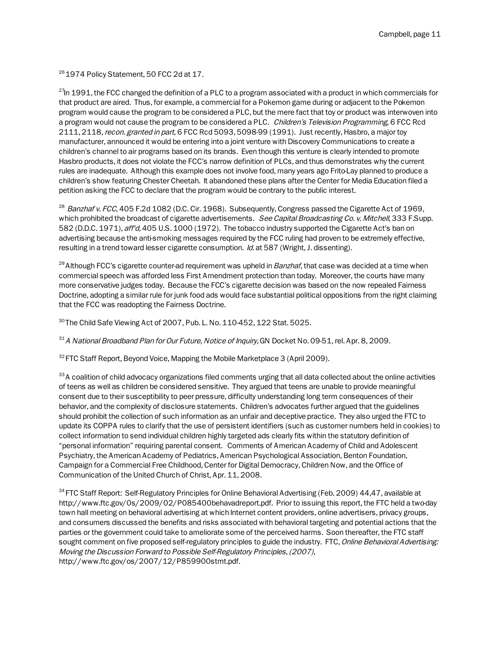<sup>26</sup> 1974 Policy Statement, 50 FCC 2d at 17.

<sup>27</sup>In 1991, the FCC changed the definition of a PLC to a program associated with a product in which commercials for that product are aired. Thus, for example, a commercial for a Pokemon game during or adjacent to the Pokemon program would cause the program to be considered a PLC, but the mere fact that toy or product was interwoven into a program would not cause the program to be considered a PLC. Children's Television Programming, 6 FCC Rcd 2111, 2118, recon. granted in part, 6 FCC Rcd 5093, 5098-99 (1991). Just recently, Hasbro, a major toy manufacturer, announced it would be entering into a joint venture with Discovery Communications to create a children's channel to air programs based on its brands. Even though this venture is clearly intended to promote Hasbro products, it does not violate the FCC's narrow definition of PLCs, and thus demonstrates why the current rules are inadequate. Although this example does not involve food, many years ago Frito-Lay planned to produce a children's show featuring Chester Cheetah. It abandoned these plans after the Center for Media Education filed a petition asking the FCC to declare that the program would be contrary to the public interest.

<sup>28</sup> Banzhaf v. FCC, 405 F.2d 1082 (D.C. Cir. 1968). Subsequently, Congress passed the Cigarette Act of 1969, which prohibited the broadcast of cigarette advertisements. See Capital Broadcasting Co. v. Mitchell, 333 F.Supp. 582 (D.D.C. 1971), aff'd, 405 U.S. 1000 (1972). The tobacco industry supported the Cigarette Act's ban on advertising because the anti-smoking messages required by the FCC ruling had proven to be extremely effective, resulting in a trend toward lesser cigarette consumption. Id. at 587 (Wright, J. dissenting).

 $^{29}$  Although FCC's cigarette counter-ad requirement was upheld in *Banzhaf*, that case was decided at a time when commercial speech was afforded less First Amendment protection than today. Moreover, the courts have many more conservative judges today. Because the FCC's cigarette decision was based on the now repealed Fairness Doctrine, adopting a similar rule for junk food ads would face substantial political oppositions from the right claiming that the FCC was readopting the Fairness Doctrine.

 $30$  The Child Safe Viewing Act of 2007, Pub. L. No. 110-452, 122 Stat. 5025.

 $31$  A National Broadband Plan for Our Future, Notice of Inquiry, GN Docket No. 09-51, rel. Apr. 8, 2009.

 $32$  FTC Staff Report, Beyond Voice, Mapping the Mobile Marketplace 3 (April 2009).

<sup>33</sup> A coalition of child advocacy organizations filed comments urging that all data collected about the online activities of teens as well as children be considered sensitive. They argued that teens are unable to provide meaningful consent due to their susceptibility to peer pressure, difficulty understanding long term consequences of their behavior, and the complexity of disclosure statements. Children's advocates further argued that the guidelines should prohibit the collection of such information as an unfair and deceptive practice. They also urged the FTC to update its COPPA rules to clarify that the use of persistent identifiers (such as customer numbers held in cookies) to collect information to send individual children highly targeted ads clearly fits within the statutory definition of "personal information" requiring parental consent. Comments of American Academy of Child and Adolescent Psychiatry, the American Academy of Pediatrics, American Psychological Association, Benton Foundation, Campaign for a Commercial Free Childhood, Center for Digital Democracy, Children Now, and the Office of Communication of the United Church of Christ, Apr. 11, 2008.

<sup>34</sup> FTC Staff Report: Self-Regulatory Principles for Online Behavioral Advertising (Feb. 2009) 44,47, available at http://www.ftc.gov/0s/2009/02/P085400behavadreport.pdf. Prior to issuing this report, the FTC held a two-day town hall meeting on behavioral advertising at which Internet content providers, online advertisers, privacy groups, and consumers discussed the benefits and risks associated with behavioral targeting and potential actions that the parties or the government could take to ameliorate some of the perceived harms. Soon thereafter, the FTC staff sought comment on five proposed self-regulatory principles to guide the industry. FTC, Online Behavioral Advertising: Moving the Discussion Forward to Possible Self-Regulatory Principles, (2007), http://www.ftc.gov/os/2007/12/P859900stmt.pdf.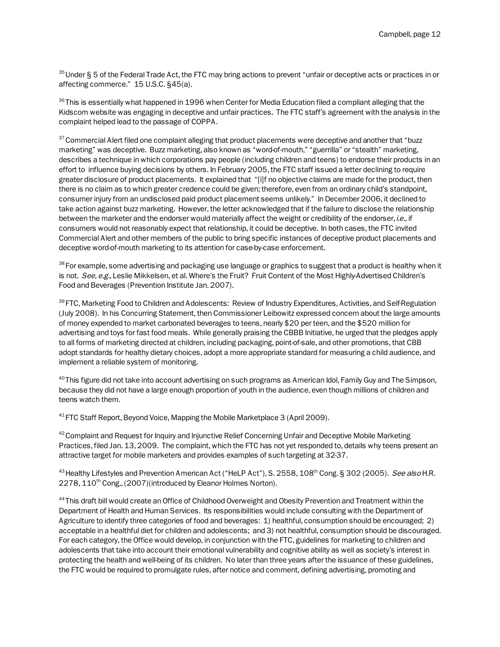<sup>35</sup> Under § 5 of the Federal Trade Act, the FTC may bring actions to prevent "unfair or deceptive acts or practices in or affecting commerce." 15 U.S.C. §45(a).

 $36$  This is essentially what happened in 1996 when Center for Media Education filed a compliant alleging that the Kidscom website was engaging in deceptive and unfair practices. The FTC staff's agreement with the analysis in the complaint helped lead to the passage of COPPA.

 $37$  Commercial Alert filed one complaint alleging that product placements were deceptive and another that "buzz marketing" was deceptive. Buzz marketing, also known as "word-of-mouth," "guerrilla" or "stealth" marketing, describes a technique in which corporations pay people (including children and teens) to endorse their products in an effort to influence buying decisions by others. In February 2005, the FTC staff issued a letter declining to require greater disclosure of product placements. It explained that "[i]f no objective claims are made for the product, then there is no claim as to which greater credence could be given; therefore, even from an ordinary child's standpoint, consumer injury from an undisclosed paid product placement seems unlikely." In December 2006, it declined to take action against buzz marketing. However, the letter acknowledged that if the failure to disclose the relationship between the marketer and the endorser would materially affect the weight or credibility of the endorser, *i.e.*, if consumers would not reasonably expect that relationship, it could be deceptive. In both cases, the FTC invited Commercial Alert and other members of the public to bring specific instances of deceptive product placements and deceptive word-of-mouth marketing to its attention for case-by-case enforcement.

<sup>38</sup> For example, some advertising and packaging use language or graphics to suggest that a product is healthy when it is not. See, e.g., Leslie Mikkelsen, et al. Where's the Fruit? Fruit Content of the Most Highly-Advertised Children's Food and Beverages (Prevention Institute Jan. 2007).

<sup>39</sup> FTC, Marketing Food to Children and Adolescents: Review of Industry Expenditures, Activities, and Self-Regulation (July 2008). In his Concurring Statement, then Commissioner Leibowitz expressed concern about the large amounts of money expended to market carbonated beverages to teens, nearly \$20 per teen, and the \$520 million for advertising and toys for fast food meals. While generally praising the CBBB Initiative, he urged that the pledges apply to all forms of marketing directed at children, including packaging, point-of-sale, and other promotions, that CBB adopt standards for healthy dietary choices, adopt a more appropriate standard for measuring a child audience, and implement a reliable system of monitoring.

 $^{40}$ This figure did not take into account advertising on such programs as American Idol, Family Guy and The Simpson, because they did not have a large enough proportion of youth in the audience, even though millions of children and teens watch them.

 $41$  FTC Staff Report, Beyond Voice, Mapping the Mobile Marketplace 3 (April 2009).

<sup>42</sup> Complaint and Request for Inquiry and Injunctive Relief Concerning Unfair and Deceptive Mobile Marketing Practices, filed Jan. 13, 2009. The complaint, which the FTC has not yet responded to, details why teens present an attractive target for mobile marketers and provides examples of such targeting at 32-37.

<sup>43</sup> Healthy Lifestyles and Prevention American Act ("HeLP Act"), S. 2558, 108<sup>th</sup> Cong. § 302 (2005). See also H.R. 2278, 110<sup>th</sup> Cong., (2007)(introduced by Eleanor Holmes Norton).

<sup>44</sup> This draft bill would create an Office of Childhood Overweight and Obesity Prevention and Treatment within the Department of Health and Human Services. Its responsibilities would include consulting with the Department of Agriculture to identify three categories of food and beverages: 1) healthful, consumption should be encouraged; 2) acceptable in a healthful diet for children and adolescents; and 3) not healthful, consumption should be discouraged. For each category, the Office would develop, in conjunction with the FTC, guidelines for marketing to children and adolescents that take into account their emotional vulnerability and cognitive ability as well as society's interest in protecting the health and well-being of its children. No later than three years after the issuance of these guidelines, the FTC would be required to promulgate rules, after notice and comment, defining advertising, promoting and